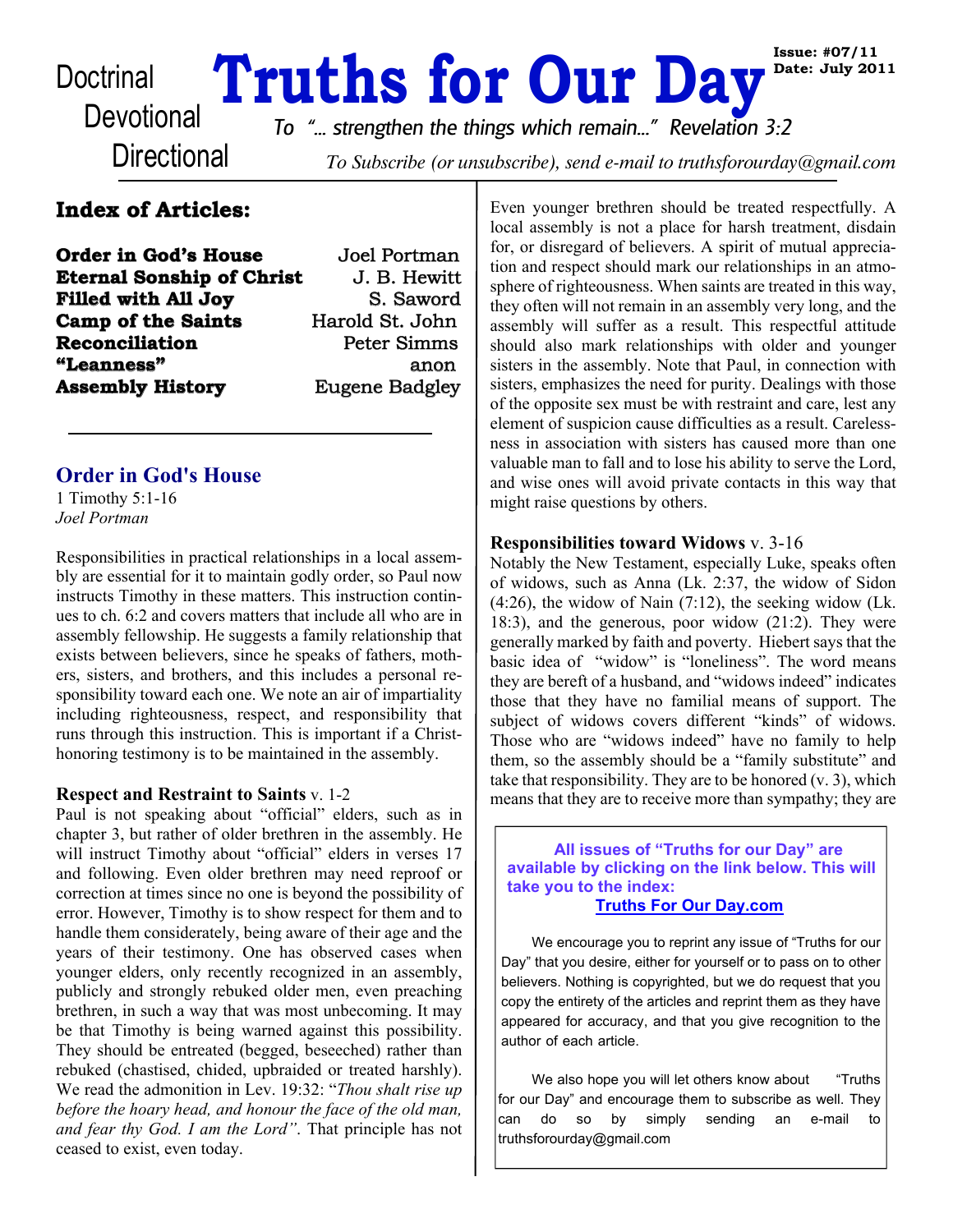# Doctrinal **Truths for Our Day**

**Directional** 

*To "... strengthen the things which remain..." Revelation 3:2*

To Subscribe (or unsubscribe), send e-mail to truthsforourday@gmail.com

# **Index of Articles:**

| <b>Order in God's House</b>      | Joel Portman          |
|----------------------------------|-----------------------|
| <b>Eternal Sonship of Christ</b> | J. B. Hewitt          |
| <b>Filled with All Joy</b>       | S. Saword             |
| <b>Camp of the Saints</b>        | Harold St. John       |
| Reconciliation                   | Peter Simms           |
| "Leanness"                       | anon                  |
| <b>Assembly History</b>          | <b>Eugene Badgley</b> |

### **Order in God's House**

1 Timothy 5:1-16 *Joel Portman*

Responsibilities in practical relationships in a local assembly are essential for it to maintain godly order, so Paul now instructs Timothy in these matters. This instruction continues to ch. 6:2 and covers matters that include all who are in assembly fellowship. He suggests a family relationship that exists between believers, since he speaks of fathers, mothers, sisters, and brothers, and this includes a personal responsibility toward each one. We note an air of impartiality including righteousness, respect, and responsibility that runs through this instruction. This is important if a Christhonoring testimony is to be maintained in the assembly.

#### **Respect and Restraint to Saints** v. 1-2

Paul is not speaking about "official" elders, such as in chapter 3, but rather of older brethren in the assembly. He will instruct Timothy about "official" elders in verses 17 and following. Even older brethren may need reproof or correction at times since no one is beyond the possibility of error. However, Timothy is to show respect for them and to handle them considerately, being aware of their age and the years of their testimony. One has observed cases when younger elders, only recently recognized in an assembly, publicly and strongly rebuked older men, even preaching brethren, in such a way that was most unbecoming. It may be that Timothy is being warned against this possibility. They should be entreated (begged, beseeched) rather than rebuked (chastised, chided, upbraided or treated harshly). We read the admonition in Lev. 19:32: "*Thou shalt rise up before the hoary head, and honour the face of the old man, and fear thy God. I am the Lord"*. That principle has not ceased to exist, even today.

Even younger brethren should be treated respectfully. A local assembly is not a place for harsh treatment, disdain for, or disregard of believers. A spirit of mutual appreciation and respect should mark our relationships in an atmosphere of righteousness. When saints are treated in this way, they often will not remain in an assembly very long, and the assembly will suffer as a result. This respectful attitude should also mark relationships with older and younger sisters in the assembly. Note that Paul, in connection with sisters, emphasizes the need for purity. Dealings with those of the opposite sex must be with restraint and care, lest any element of suspicion cause difficulties as a result. Carelessness in association with sisters has caused more than one valuable man to fall and to lose his ability to serve the Lord, and wise ones will avoid private contacts in this way that might raise questions by others.

**Issue: #07/11 Date: July 2011**

#### **Responsibilities toward Widows** v. 3-16

Notably the New Testament, especially Luke, speaks often of widows, such as Anna (Lk. 2:37, the widow of Sidon  $(4:26)$ , the widow of Nain  $(7:12)$ , the seeking widow (Lk.) 18:3), and the generous, poor widow (21:2). They were generally marked by faith and poverty. Hiebert says that the basic idea of "widow" is "loneliness". The word means they are bereft of a husband, and "widows indeed" indicates those that they have no familial means of support. The subject of widows covers different "kinds" of widows. Those who are "widows indeed" have no family to help them, so the assembly should be a "family substitute" and take that responsibility. They are to be honored (v. 3), which means that they are to receive more than sympathy; they are

 **All issues of "Truths for our Day" are available by clicking on the link below. This will take you to the index: [Truths For Our Day.com](http://truthsforourday.com/)**

We encourage you to reprint any issue of "Truths for our Day" that you desire, either for yourself or to pass on to other believers. Nothing is copyrighted, but we do request that you copy the entirety of the articles and reprint them as they have appeared for accuracy, and that you give recognition to the author of each article.

We also hope you will let others know about "Truths" for our Day" and encourage them to subscribe as well. They can do so by simply sending an e-mail to truthsforourday@gmail.com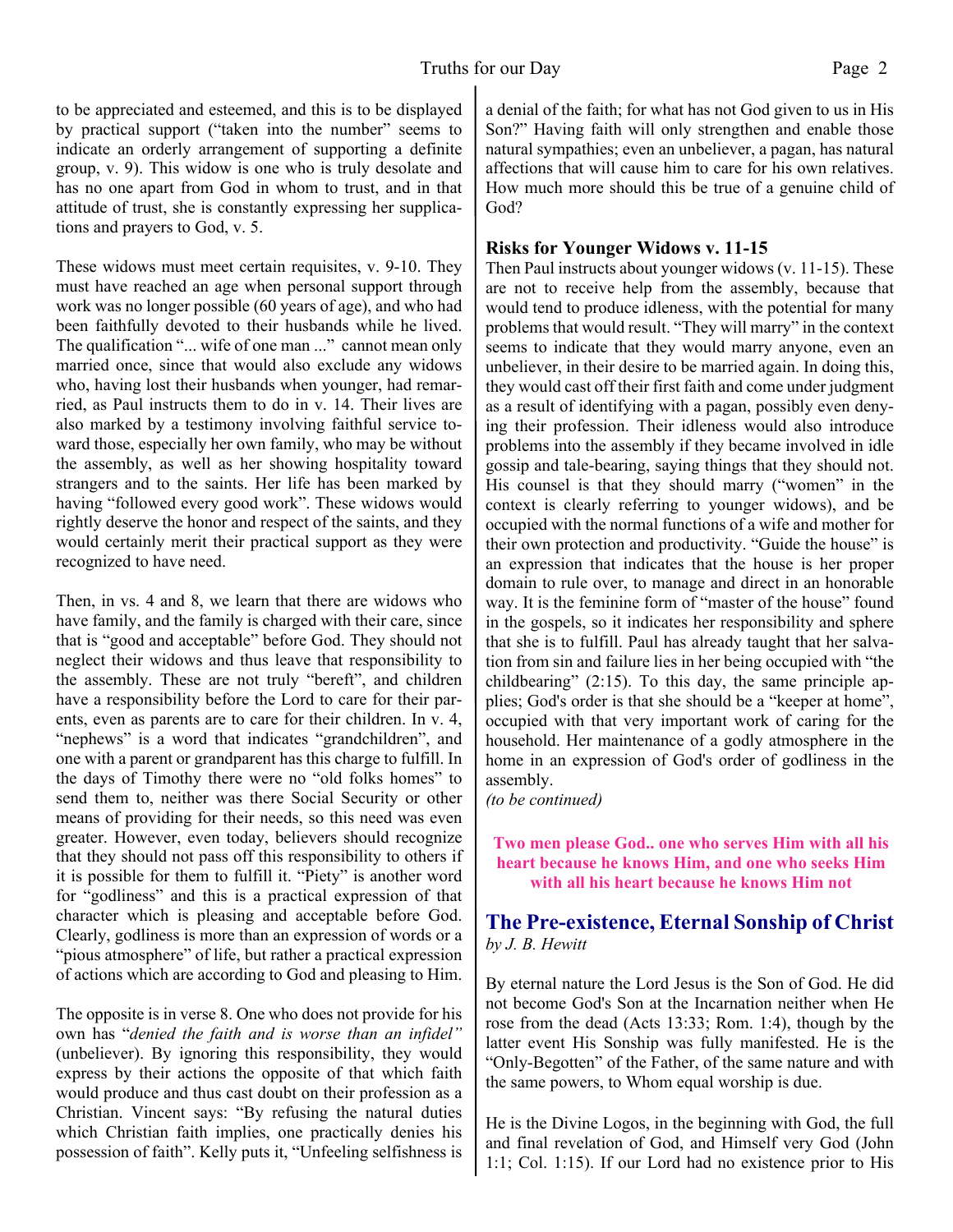to be appreciated and esteemed, and this is to be displayed by practical support ("taken into the number" seems to indicate an orderly arrangement of supporting a definite group, v. 9). This widow is one who is truly desolate and has no one apart from God in whom to trust, and in that attitude of trust, she is constantly expressing her supplications and prayers to God, v. 5.

These widows must meet certain requisites, v. 9-10. They must have reached an age when personal support through work was no longer possible (60 years of age), and who had been faithfully devoted to their husbands while he lived. The qualification "... wife of one man ..." cannot mean only married once, since that would also exclude any widows who, having lost their husbands when younger, had remarried, as Paul instructs them to do in v. 14. Their lives are also marked by a testimony involving faithful service toward those, especially her own family, who may be without the assembly, as well as her showing hospitality toward strangers and to the saints. Her life has been marked by having "followed every good work". These widows would rightly deserve the honor and respect of the saints, and they would certainly merit their practical support as they were recognized to have need.

Then, in vs. 4 and 8, we learn that there are widows who have family, and the family is charged with their care, since that is "good and acceptable" before God. They should not neglect their widows and thus leave that responsibility to the assembly. These are not truly "bereft", and children have a responsibility before the Lord to care for their parents, even as parents are to care for their children. In v. 4, "nephews" is a word that indicates "grandchildren", and one with a parent or grandparent has this charge to fulfill. In the days of Timothy there were no "old folks homes" to send them to, neither was there Social Security or other means of providing for their needs, so this need was even greater. However, even today, believers should recognize that they should not pass off this responsibility to others if it is possible for them to fulfill it. "Piety" is another word for "godliness" and this is a practical expression of that character which is pleasing and acceptable before God. Clearly, godliness is more than an expression of words or a "pious atmosphere" of life, but rather a practical expression of actions which are according to God and pleasing to Him.

The opposite is in verse 8. One who does not provide for his own has "*denied the faith and is worse than an infidel"* (unbeliever). By ignoring this responsibility, they would express by their actions the opposite of that which faith would produce and thus cast doubt on their profession as a Christian. Vincent says: "By refusing the natural duties which Christian faith implies, one practically denies his possession of faith". Kelly puts it, "Unfeeling selfishness is

a denial of the faith; for what has not God given to us in His Son?" Having faith will only strengthen and enable those natural sympathies; even an unbeliever, a pagan, has natural affections that will cause him to care for his own relatives. How much more should this be true of a genuine child of God?

#### **Risks for Younger Widows v. 11-15**

Then Paul instructs about younger widows (v. 11-15). These are not to receive help from the assembly, because that would tend to produce idleness, with the potential for many problems that would result. "They will marry" in the context seems to indicate that they would marry anyone, even an unbeliever, in their desire to be married again. In doing this, they would cast off their first faith and come under judgment as a result of identifying with a pagan, possibly even denying their profession. Their idleness would also introduce problems into the assembly if they became involved in idle gossip and tale-bearing, saying things that they should not. His counsel is that they should marry ("women" in the context is clearly referring to younger widows), and be occupied with the normal functions of a wife and mother for their own protection and productivity. "Guide the house" is an expression that indicates that the house is her proper domain to rule over, to manage and direct in an honorable way. It is the feminine form of "master of the house" found in the gospels, so it indicates her responsibility and sphere that she is to fulfill. Paul has already taught that her salvation from sin and failure lies in her being occupied with "the childbearing" (2:15). To this day, the same principle applies; God's order is that she should be a "keeper at home", occupied with that very important work of caring for the household. Her maintenance of a godly atmosphere in the home in an expression of God's order of godliness in the assembly.

*(to be continued)*

**Two men please God.. one who serves Him with all his heart because he knows Him, and one who seeks Him with all his heart because he knows Him not**

# **The Pre-existence, Eternal Sonship of Christ** *by J. B. Hewitt*

By eternal nature the Lord Jesus is the Son of God. He did not become God's Son at the Incarnation neither when He rose from the dead (Acts 13:33; Rom. 1:4), though by the latter event His Sonship was fully manifested. He is the "Only-Begotten" of the Father, of the same nature and with the same powers, to Whom equal worship is due.

He is the Divine Logos, in the beginning with God, the full and final revelation of God, and Himself very God (John 1:1; Col. 1:15). If our Lord had no existence prior to His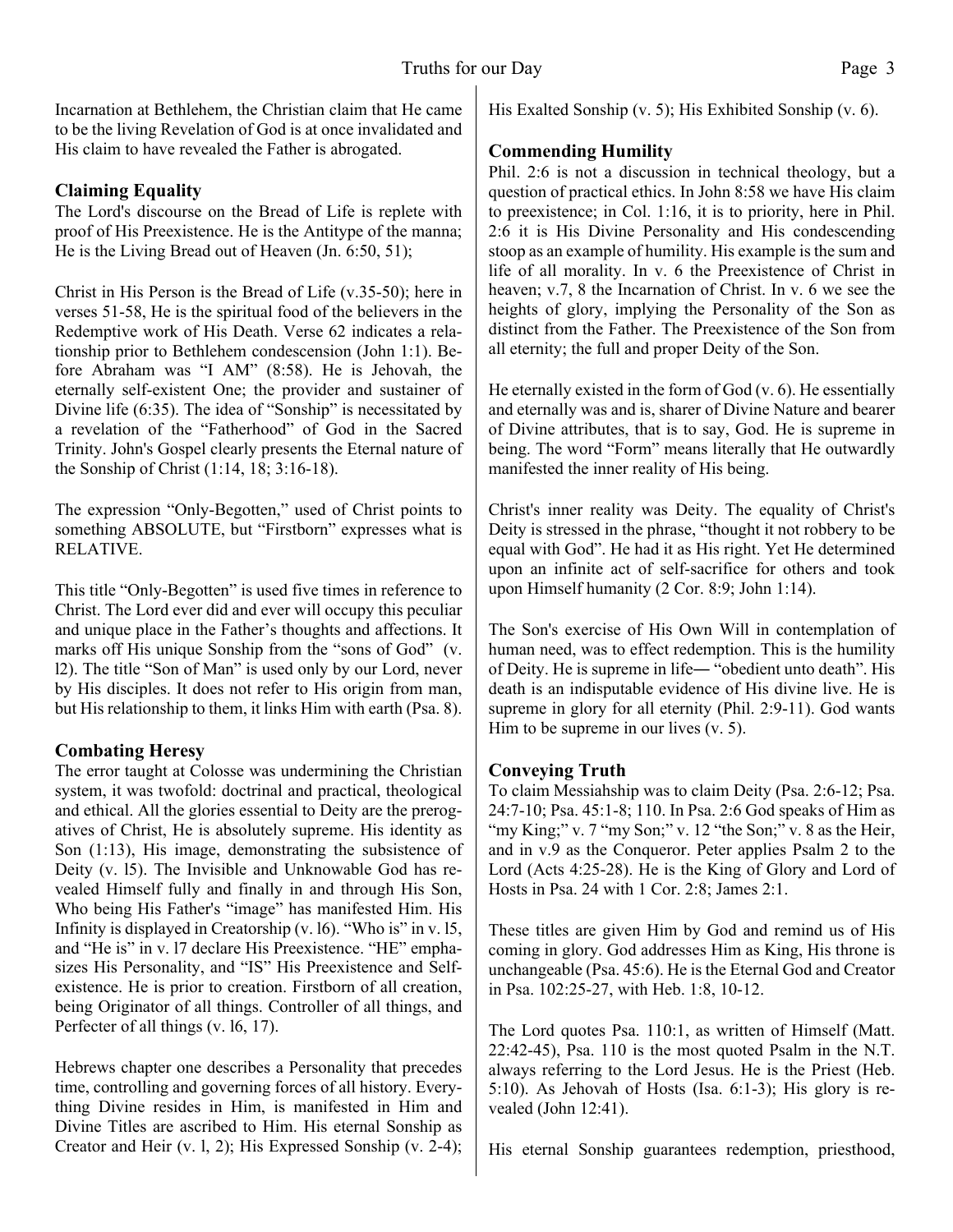Incarnation at Bethlehem, the Christian claim that He came to be the living Revelation of God is at once invalidated and His claim to have revealed the Father is abrogated.

# **Claiming Equality**

The Lord's discourse on the Bread of Life is replete with proof of His Preexistence. He is the Antitype of the manna; He is the Living Bread out of Heaven (Jn. 6:50, 51);

Christ in His Person is the Bread of Life (v.35-50); here in verses 51-58, He is the spiritual food of the believers in the Redemptive work of His Death. Verse 62 indicates a relationship prior to Bethlehem condescension (John 1:1). Before Abraham was "I AM" (8:58). He is Jehovah, the eternally self-existent One; the provider and sustainer of Divine life (6:35). The idea of "Sonship" is necessitated by a revelation of the "Fatherhood" of God in the Sacred Trinity. John's Gospel clearly presents the Eternal nature of the Sonship of Christ (1:14, 18; 3:16-18).

The expression "Only-Begotten," used of Christ points to something ABSOLUTE, but "Firstborn" expresses what is RELATIVE.

This title "Only-Begotten" is used five times in reference to Christ. The Lord ever did and ever will occupy this peculiar and unique place in the Father's thoughts and affections. It marks off His unique Sonship from the "sons of God" (v. l2). The title "Son of Man" is used only by our Lord, never by His disciples. It does not refer to His origin from man, but His relationship to them, it links Him with earth (Psa. 8).

# **Combating Heresy**

The error taught at Colosse was undermining the Christian system, it was twofold: doctrinal and practical, theological and ethical. All the glories essential to Deity are the prerogatives of Christ, He is absolutely supreme. His identity as Son (1:13), His image, demonstrating the subsistence of Deity (v. l5). The Invisible and Unknowable God has revealed Himself fully and finally in and through His Son, Who being His Father's "image" has manifested Him. His Infinity is displayed in Creatorship (v. l6). "Who is" in v. l5, and "He is" in v. l7 declare His Preexistence. "HE" emphasizes His Personality, and "IS" His Preexistence and Selfexistence. He is prior to creation. Firstborn of all creation, being Originator of all things. Controller of all things, and Perfecter of all things (v. 16, 17).

Hebrews chapter one describes a Personality that precedes time, controlling and governing forces of all history. Everything Divine resides in Him, is manifested in Him and Divine Titles are ascribed to Him. His eternal Sonship as Creator and Heir (v. l, 2); His Expressed Sonship (v. 2-4); His Exalted Sonship (v. 5); His Exhibited Sonship (v. 6).

# **Commending Humility**

Phil. 2:6 is not a discussion in technical theology, but a question of practical ethics. In John 8:58 we have His claim to preexistence; in Col. 1:16, it is to priority, here in Phil. 2:6 it is His Divine Personality and His condescending stoop as an example of humility. His example is the sum and life of all morality. In v. 6 the Preexistence of Christ in heaven; v.7, 8 the Incarnation of Christ. In v. 6 we see the heights of glory, implying the Personality of the Son as distinct from the Father. The Preexistence of the Son from all eternity; the full and proper Deity of the Son.

He eternally existed in the form of God (v. 6). He essentially and eternally was and is, sharer of Divine Nature and bearer of Divine attributes, that is to say, God. He is supreme in being. The word "Form" means literally that He outwardly manifested the inner reality of His being.

Christ's inner reality was Deity. The equality of Christ's Deity is stressed in the phrase, "thought it not robbery to be equal with God". He had it as His right. Yet He determined upon an infinite act of self-sacrifice for others and took upon Himself humanity (2 Cor. 8:9; John 1:14).

The Son's exercise of His Own Will in contemplation of human need, was to effect redemption. This is the humility of Deity. He is supreme in life― "obedient unto death". His death is an indisputable evidence of His divine live. He is supreme in glory for all eternity (Phil. 2:9-11). God wants Him to be supreme in our lives  $(v, 5)$ .

# **Conveying Truth**

To claim Messiahship was to claim Deity (Psa. 2:6-12; Psa. 24:7-10; Psa. 45:1-8; 110. In Psa. 2:6 God speaks of Him as "my King;" v.  $7$  "my Son;" v.  $12$  "the Son;" v.  $8$  as the Heir, and in v.9 as the Conqueror. Peter applies Psalm 2 to the Lord (Acts 4:25-28). He is the King of Glory and Lord of Hosts in Psa. 24 with 1 Cor. 2:8; James 2:1.

These titles are given Him by God and remind us of His coming in glory. God addresses Him as King, His throne is unchangeable (Psa. 45:6). He is the Eternal God and Creator in Psa. 102:25-27, with Heb. 1:8, 10-12.

The Lord quotes Psa. 110:1, as written of Himself (Matt. 22:42-45), Psa. 110 is the most quoted Psalm in the N.T. always referring to the Lord Jesus. He is the Priest (Heb. 5:10). As Jehovah of Hosts (Isa. 6:1-3); His glory is revealed (John 12:41).

His eternal Sonship guarantees redemption, priesthood,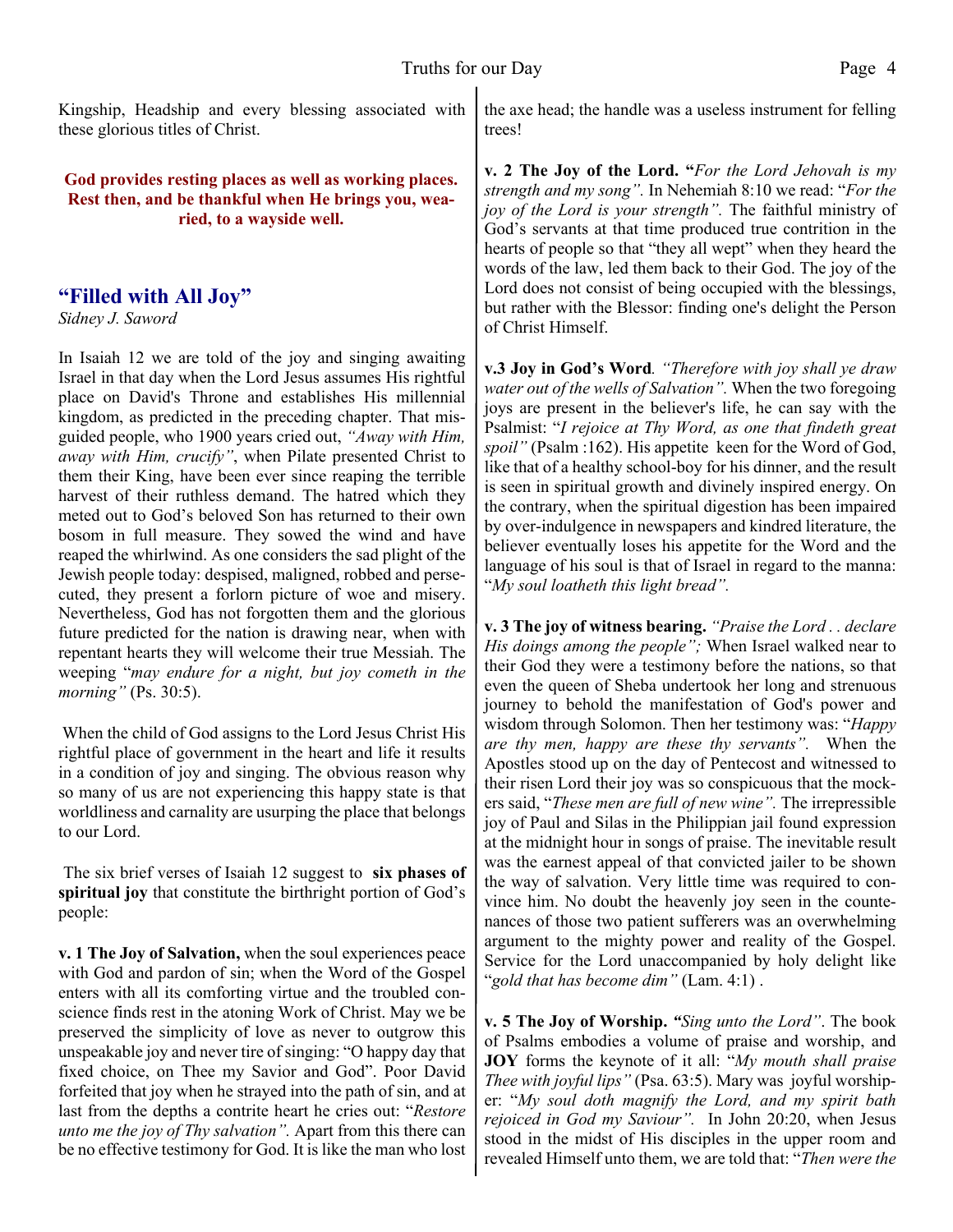Kingship, Headship and every blessing associated with these glorious titles of Christ.

#### **God provides resting places as well as working places. Rest then, and be thankful when He brings you, wearied, to a wayside well.**

# **"Filled with All Joy"**

*Sidney J. Saword*

In Isaiah 12 we are told of the joy and singing awaiting Israel in that day when the Lord Jesus assumes His rightful place on David's Throne and establishes His millennial kingdom, as predicted in the preceding chapter. That misguided people, who 1900 years cried out, *"Away with Him, away with Him, crucify"*, when Pilate presented Christ to them their King, have been ever since reaping the terrible harvest of their ruthless demand. The hatred which they meted out to God's beloved Son has returned to their own bosom in full measure. They sowed the wind and have reaped the whirlwind. As one considers the sad plight of the Jewish people today: despised, maligned, robbed and persecuted, they present a forlorn picture of woe and misery. Nevertheless, God has not forgotten them and the glorious future predicted for the nation is drawing near, when with repentant hearts they will welcome their true Messiah. The weeping "*may endure for a night, but joy cometh in the morning"* (Ps. 30:5).

 When the child of God assigns to the Lord Jesus Christ His rightful place of government in the heart and life it results in a condition of joy and singing. The obvious reason why so many of us are not experiencing this happy state is that worldliness and carnality are usurping the place that belongs to our Lord.

 The six brief verses of Isaiah 12 suggest to **six phases of spiritual joy** that constitute the birthright portion of God's people:

**v. 1 The Joy of Salvation,** when the soul experiences peace with God and pardon of sin; when the Word of the Gospel enters with all its comforting virtue and the troubled conscience finds rest in the atoning Work of Christ. May we be preserved the simplicity of love as never to outgrow this unspeakable joy and never tire of singing: "O happy day that fixed choice, on Thee my Savior and God". Poor David forfeited that joy when he strayed into the path of sin, and at last from the depths a contrite heart he cries out: "*Restore unto me the joy of Thy salvation".* Apart from this there can be no effective testimony for God. It is like the man who lost the axe head; the handle was a useless instrument for felling trees!

**v. 2 The Joy of the Lord. "***For the Lord Jehovah is my strength and my song".* In Nehemiah 8:10 we read: "*For the joy of the Lord is your strength".* The faithful ministry of God's servants at that time produced true contrition in the hearts of people so that "they all wept" when they heard the words of the law, led them back to their God. The joy of the Lord does not consist of being occupied with the blessings, but rather with the Blessor: finding one's delight the Person of Christ Himself.

**v.3 Joy in God's Word***. "Therefore with joy shall ye draw water out of the wells of Salvation".* When the two foregoing joys are present in the believer's life, he can say with the Psalmist: "*I rejoice at Thy Word, as one that findeth great spoil"* (Psalm :162). His appetite keen for the Word of God, like that of a healthy school-boy for his dinner, and the result is seen in spiritual growth and divinely inspired energy. On the contrary, when the spiritual digestion has been impaired by over-indulgence in newspapers and kindred literature, the believer eventually loses his appetite for the Word and the language of his soul is that of Israel in regard to the manna: "*My soul loatheth this light bread".*

**v. 3 The joy of witness bearing.** *"Praise the Lord . . declare His doings among the people";* When Israel walked near to their God they were a testimony before the nations, so that even the queen of Sheba undertook her long and strenuous journey to behold the manifestation of God's power and wisdom through Solomon. Then her testimony was: "*Happy are thy men, happy are these thy servants".* When the Apostles stood up on the day of Pentecost and witnessed to their risen Lord their joy was so conspicuous that the mockers said, "*These men are full of new wine".* The irrepressible joy of Paul and Silas in the Philippian jail found expression at the midnight hour in songs of praise. The inevitable result was the earnest appeal of that convicted jailer to be shown the way of salvation. Very little time was required to convince him. No doubt the heavenly joy seen in the countenances of those two patient sufferers was an overwhelming argument to the mighty power and reality of the Gospel. Service for the Lord unaccompanied by holy delight like "*gold that has become dim"* (Lam. 4:1) .

**v. 5 The Joy of Worship.** *"Sing unto the Lord"*. The book of Psalms embodies a volume of praise and worship, and **JOY** forms the keynote of it all: "*My mouth shall praise Thee with joyful lips"* (Psa. 63:5). Mary was joyful worshiper: "*My soul doth magnify the Lord, and my spirit bath rejoiced in God my Saviour".* In John 20:20, when Jesus stood in the midst of His disciples in the upper room and revealed Himself unto them, we are told that: "*Then were the*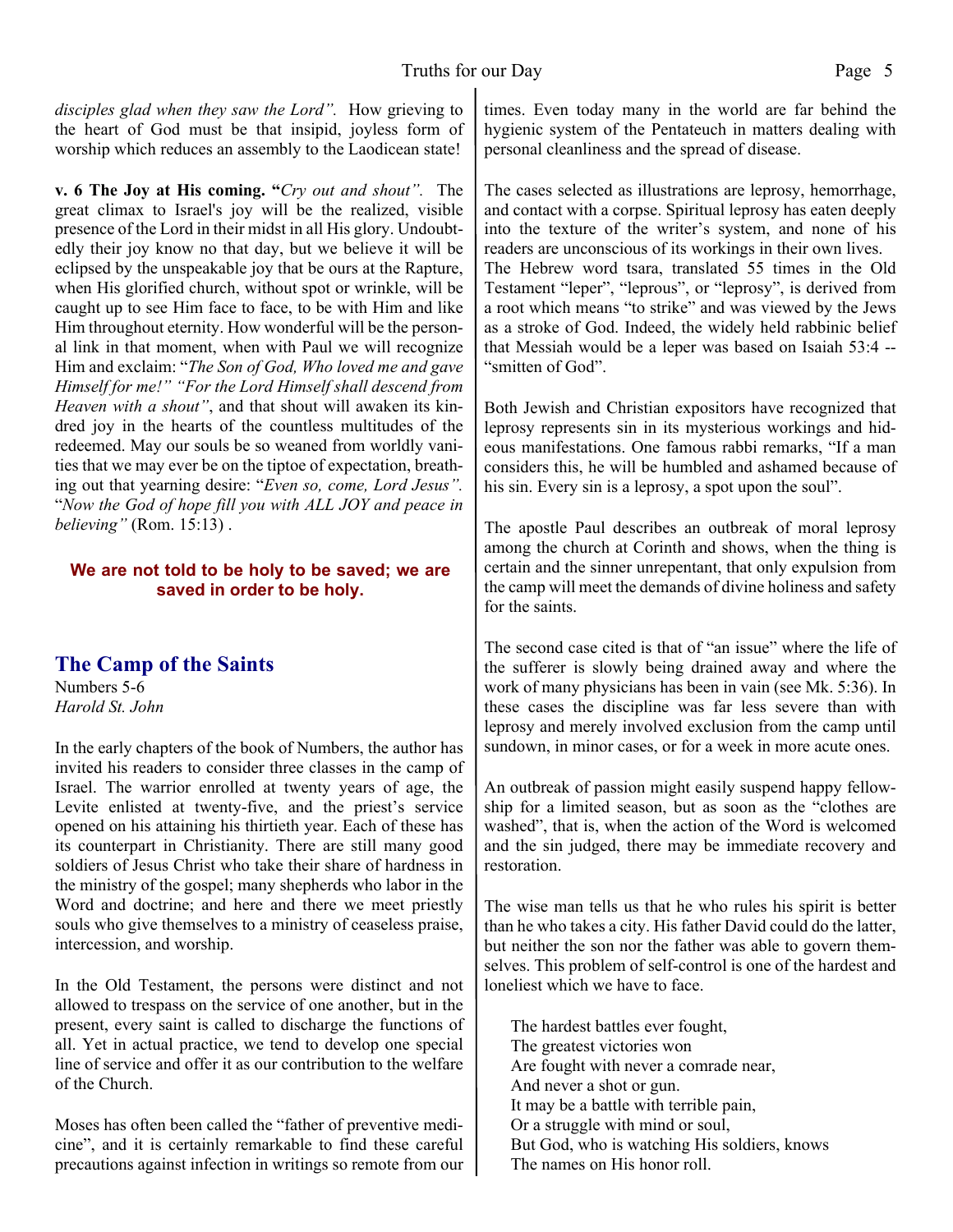*disciples glad when they saw the Lord".* How grieving to the heart of God must be that insipid, joyless form of worship which reduces an assembly to the Laodicean state!

**v. 6 The Joy at His coming. "***Cry out and shout".* The great climax to Israel's joy will be the realized, visible presence of the Lord in their midst in all His glory. Undoubtedly their joy know no that day, but we believe it will be eclipsed by the unspeakable joy that be ours at the Rapture, when His glorified church, without spot or wrinkle, will be caught up to see Him face to face, to be with Him and like Him throughout eternity. How wonderful will be the personal link in that moment, when with Paul we will recognize Him and exclaim: "*The Son of God, Who loved me and gave Himself for me!" "For the Lord Himself shall descend from Heaven with a shout"*, and that shout will awaken its kindred joy in the hearts of the countless multitudes of the redeemed. May our souls be so weaned from worldly vanities that we may ever be on the tiptoe of expectation, breathing out that yearning desire: "*Even so, come, Lord Jesus".* "*Now the God of hope fill you with ALL JOY and peace in believing"* (Rom. 15:13) .

#### **We are not told to be holy to be saved; we are saved in order to be holy.**

# **The Camp of the Saints**

Numbers 5-6 *Harold St. John*

In the early chapters of the book of Numbers, the author has invited his readers to consider three classes in the camp of Israel. The warrior enrolled at twenty years of age, the Levite enlisted at twenty-five, and the priest's service opened on his attaining his thirtieth year. Each of these has its counterpart in Christianity. There are still many good soldiers of Jesus Christ who take their share of hardness in the ministry of the gospel; many shepherds who labor in the Word and doctrine; and here and there we meet priestly souls who give themselves to a ministry of ceaseless praise, intercession, and worship.

In the Old Testament, the persons were distinct and not allowed to trespass on the service of one another, but in the present, every saint is called to discharge the functions of all. Yet in actual practice, we tend to develop one special line of service and offer it as our contribution to the welfare of the Church.

Moses has often been called the "father of preventive medicine", and it is certainly remarkable to find these careful precautions against infection in writings so remote from our

times. Even today many in the world are far behind the hygienic system of the Pentateuch in matters dealing with personal cleanliness and the spread of disease.

The cases selected as illustrations are leprosy, hemorrhage, and contact with a corpse. Spiritual leprosy has eaten deeply into the texture of the writer's system, and none of his readers are unconscious of its workings in their own lives. The Hebrew word tsara, translated 55 times in the Old Testament "leper", "leprous", or "leprosy", is derived from a root which means "to strike" and was viewed by the Jews as a stroke of God. Indeed, the widely held rabbinic belief that Messiah would be a leper was based on Isaiah 53:4 -- "smitten of God".

Both Jewish and Christian expositors have recognized that leprosy represents sin in its mysterious workings and hideous manifestations. One famous rabbi remarks, "If a man considers this, he will be humbled and ashamed because of his sin. Every sin is a leprosy, a spot upon the soul".

The apostle Paul describes an outbreak of moral leprosy among the church at Corinth and shows, when the thing is certain and the sinner unrepentant, that only expulsion from the camp will meet the demands of divine holiness and safety for the saints.

The second case cited is that of "an issue" where the life of the sufferer is slowly being drained away and where the work of many physicians has been in vain (see Mk. 5:36). In these cases the discipline was far less severe than with leprosy and merely involved exclusion from the camp until sundown, in minor cases, or for a week in more acute ones.

An outbreak of passion might easily suspend happy fellowship for a limited season, but as soon as the "clothes are washed", that is, when the action of the Word is welcomed and the sin judged, there may be immediate recovery and restoration.

The wise man tells us that he who rules his spirit is better than he who takes a city. His father David could do the latter, but neither the son nor the father was able to govern themselves. This problem of self-control is one of the hardest and loneliest which we have to face.

The hardest battles ever fought, The greatest victories won Are fought with never a comrade near, And never a shot or gun. It may be a battle with terrible pain, Or a struggle with mind or soul, But God, who is watching His soldiers, knows The names on His honor roll.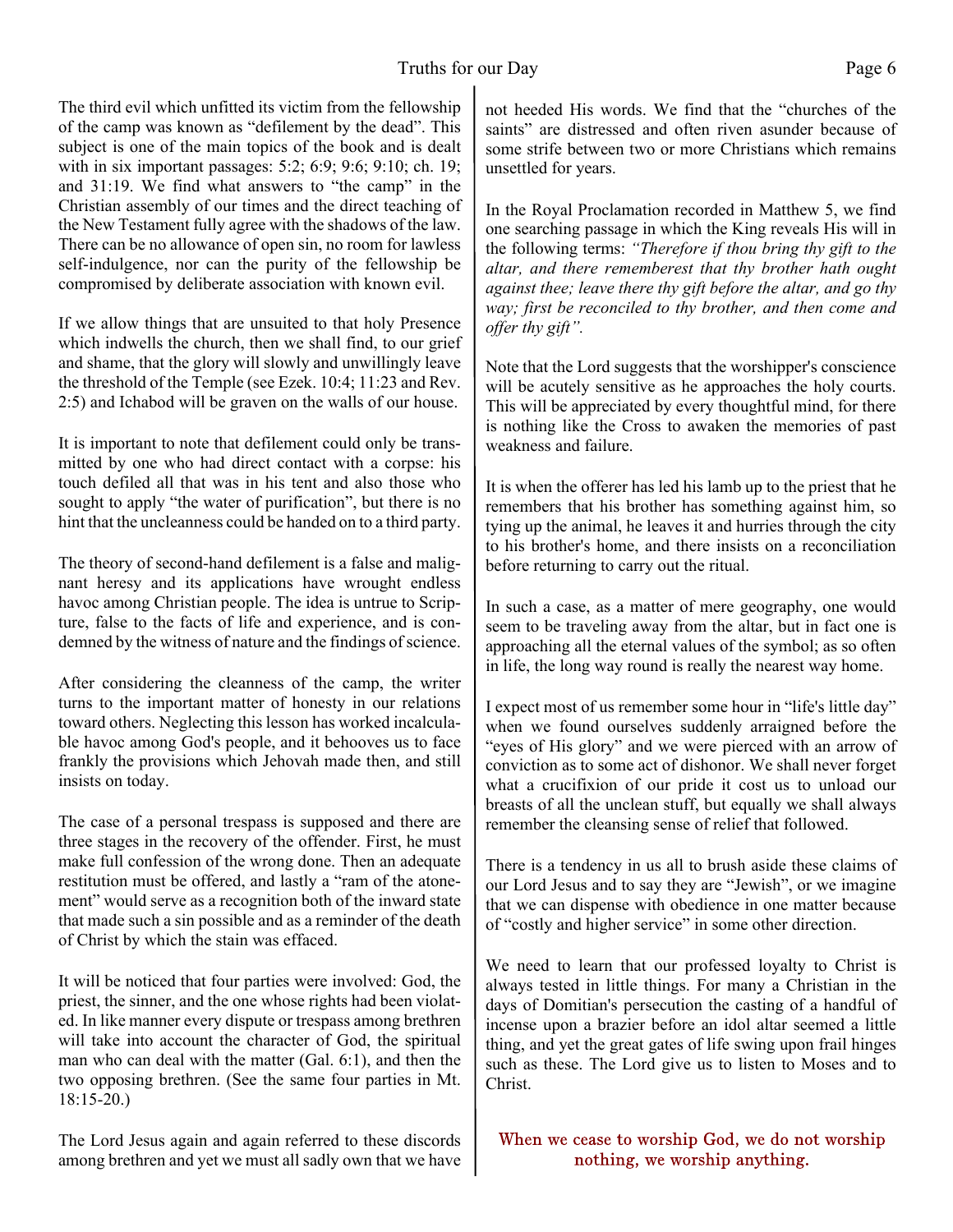#### Truths for our Day Page 6

The third evil which unfitted its victim from the fellowship of the camp was known as "defilement by the dead". This subject is one of the main topics of the book and is dealt with in six important passages: 5:2; 6:9; 9:6; 9:10; ch. 19; and 31:19. We find what answers to "the camp" in the Christian assembly of our times and the direct teaching of the New Testament fully agree with the shadows of the law. There can be no allowance of open sin, no room for lawless self-indulgence, nor can the purity of the fellowship be compromised by deliberate association with known evil.

If we allow things that are unsuited to that holy Presence which indwells the church, then we shall find, to our grief and shame, that the glory will slowly and unwillingly leave the threshold of the Temple (see Ezek. 10:4; 11:23 and Rev. 2:5) and Ichabod will be graven on the walls of our house.

It is important to note that defilement could only be transmitted by one who had direct contact with a corpse: his touch defiled all that was in his tent and also those who sought to apply "the water of purification", but there is no hint that the uncleanness could be handed on to a third party.

The theory of second-hand defilement is a false and malignant heresy and its applications have wrought endless havoc among Christian people. The idea is untrue to Scripture, false to the facts of life and experience, and is condemned by the witness of nature and the findings of science.

After considering the cleanness of the camp, the writer turns to the important matter of honesty in our relations toward others. Neglecting this lesson has worked incalculable havoc among God's people, and it behooves us to face frankly the provisions which Jehovah made then, and still insists on today.

The case of a personal trespass is supposed and there are three stages in the recovery of the offender. First, he must make full confession of the wrong done. Then an adequate restitution must be offered, and lastly a "ram of the atonement" would serve as a recognition both of the inward state that made such a sin possible and as a reminder of the death of Christ by which the stain was effaced.

It will be noticed that four parties were involved: God, the priest, the sinner, and the one whose rights had been violated. In like manner every dispute or trespass among brethren will take into account the character of God, the spiritual man who can deal with the matter (Gal. 6:1), and then the two opposing brethren. (See the same four parties in Mt. 18:15-20.)

The Lord Jesus again and again referred to these discords among brethren and yet we must all sadly own that we have not heeded His words. We find that the "churches of the saints" are distressed and often riven asunder because of some strife between two or more Christians which remains unsettled for years.

In the Royal Proclamation recorded in Matthew 5, we find one searching passage in which the King reveals His will in the following terms: *"Therefore if thou bring thy gift to the altar, and there rememberest that thy brother hath ought against thee; leave there thy gift before the altar, and go thy way; first be reconciled to thy brother, and then come and offer thy gift".*

Note that the Lord suggests that the worshipper's conscience will be acutely sensitive as he approaches the holy courts. This will be appreciated by every thoughtful mind, for there is nothing like the Cross to awaken the memories of past weakness and failure.

It is when the offerer has led his lamb up to the priest that he remembers that his brother has something against him, so tying up the animal, he leaves it and hurries through the city to his brother's home, and there insists on a reconciliation before returning to carry out the ritual.

In such a case, as a matter of mere geography, one would seem to be traveling away from the altar, but in fact one is approaching all the eternal values of the symbol; as so often in life, the long way round is really the nearest way home.

I expect most of us remember some hour in "life's little day" when we found ourselves suddenly arraigned before the "eyes of His glory" and we were pierced with an arrow of conviction as to some act of dishonor. We shall never forget what a crucifixion of our pride it cost us to unload our breasts of all the unclean stuff, but equally we shall always remember the cleansing sense of relief that followed.

There is a tendency in us all to brush aside these claims of our Lord Jesus and to say they are "Jewish", or we imagine that we can dispense with obedience in one matter because of "costly and higher service" in some other direction.

We need to learn that our professed loyalty to Christ is always tested in little things. For many a Christian in the days of Domitian's persecution the casting of a handful of incense upon a brazier before an idol altar seemed a little thing, and yet the great gates of life swing upon frail hinges such as these. The Lord give us to listen to Moses and to Christ.

When we cease to worship God, we do not worship nothing, we worship anything.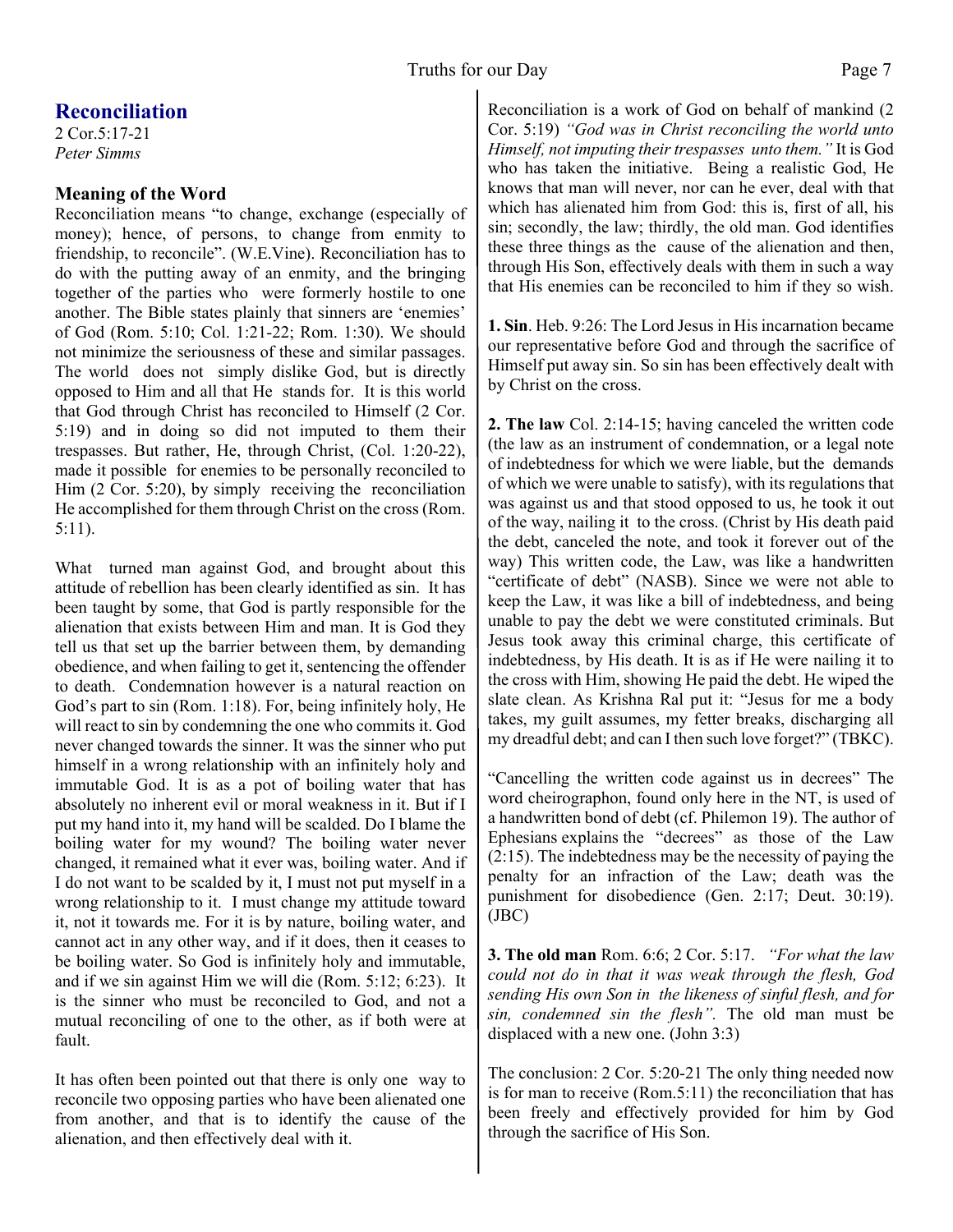# **Reconciliation**

2 Cor.5:17-21 *Peter Simms*

### **Meaning of the Word**

Reconciliation means "to change, exchange (especially of money); hence, of persons, to change from enmity to friendship, to reconcile". (W.E.Vine). Reconciliation has to do with the putting away of an enmity, and the bringing together of the parties who were formerly hostile to one another. The Bible states plainly that sinners are 'enemies' of God (Rom. 5:10; Col. 1:21-22; Rom. 1:30). We should not minimize the seriousness of these and similar passages. The world does not simply dislike God, but is directly opposed to Him and all that He stands for. It is this world that God through Christ has reconciled to Himself (2 Cor. 5:19) and in doing so did not imputed to them their trespasses. But rather, He, through Christ, (Col. 1:20-22), made it possible for enemies to be personally reconciled to Him (2 Cor. 5:20), by simply receiving the reconciliation He accomplished for them through Christ on the cross (Rom. 5:11).

What turned man against God, and brought about this attitude of rebellion has been clearly identified as sin. It has been taught by some, that God is partly responsible for the alienation that exists between Him and man. It is God they tell us that set up the barrier between them, by demanding obedience, and when failing to get it, sentencing the offender to death. Condemnation however is a natural reaction on God's part to sin (Rom. 1:18). For, being infinitely holy, He will react to sin by condemning the one who commits it. God never changed towards the sinner. It was the sinner who put himself in a wrong relationship with an infinitely holy and immutable God. It is as a pot of boiling water that has absolutely no inherent evil or moral weakness in it. But if I put my hand into it, my hand will be scalded. Do I blame the boiling water for my wound? The boiling water never changed, it remained what it ever was, boiling water. And if I do not want to be scalded by it, I must not put myself in a wrong relationship to it. I must change my attitude toward it, not it towards me. For it is by nature, boiling water, and cannot act in any other way, and if it does, then it ceases to be boiling water. So God is infinitely holy and immutable, and if we sin against Him we will die (Rom. 5:12; 6:23). It is the sinner who must be reconciled to God, and not a mutual reconciling of one to the other, as if both were at fault.

It has often been pointed out that there is only one way to reconcile two opposing parties who have been alienated one from another, and that is to identify the cause of the alienation, and then effectively deal with it.

Reconciliation is a work of God on behalf of mankind (2 Cor. 5:19) *"God was in Christ reconciling the world unto Himself, not imputing their trespasses unto them."* It is God who has taken the initiative. Being a realistic God, He knows that man will never, nor can he ever, deal with that which has alienated him from God: this is, first of all, his sin; secondly, the law; thirdly, the old man. God identifies these three things as the cause of the alienation and then, through His Son, effectively deals with them in such a way that His enemies can be reconciled to him if they so wish.

**1. Sin**. Heb. 9:26: The Lord Jesus in His incarnation became our representative before God and through the sacrifice of Himself put away sin. So sin has been effectively dealt with by Christ on the cross.

**2. The law** Col. 2:14-15; having canceled the written code (the law as an instrument of condemnation, or a legal note of indebtedness for which we were liable, but the demands of which we were unable to satisfy), with its regulations that was against us and that stood opposed to us, he took it out of the way, nailing it to the cross. (Christ by His death paid the debt, canceled the note, and took it forever out of the way) This written code, the Law, was like a handwritten "certificate of debt" (NASB). Since we were not able to keep the Law, it was like a bill of indebtedness, and being unable to pay the debt we were constituted criminals. But Jesus took away this criminal charge, this certificate of indebtedness, by His death. It is as if He were nailing it to the cross with Him, showing He paid the debt. He wiped the slate clean. As Krishna Ral put it: "Jesus for me a body takes, my guilt assumes, my fetter breaks, discharging all my dreadful debt; and can I then such love forget?" (TBKC).

"Cancelling the written code against us in decrees" The word cheirographon, found only here in the NT, is used of a handwritten bond of debt (cf. Philemon 19). The author of Ephesians explains the "decrees" as those of the Law (2:15). The indebtedness may be the necessity of paying the penalty for an infraction of the Law; death was the punishment for disobedience (Gen. 2:17; Deut. 30:19). (JBC)

**3. The old man** Rom. 6:6; 2 Cor. 5:17. *"For what the law could not do in that it was weak through the flesh, God sending His own Son in the likeness of sinful flesh, and for sin, condemned sin the flesh".* The old man must be displaced with a new one. (John 3:3)

The conclusion: 2 Cor. 5:20-21 The only thing needed now is for man to receive (Rom.5:11) the reconciliation that has been freely and effectively provided for him by God through the sacrifice of His Son.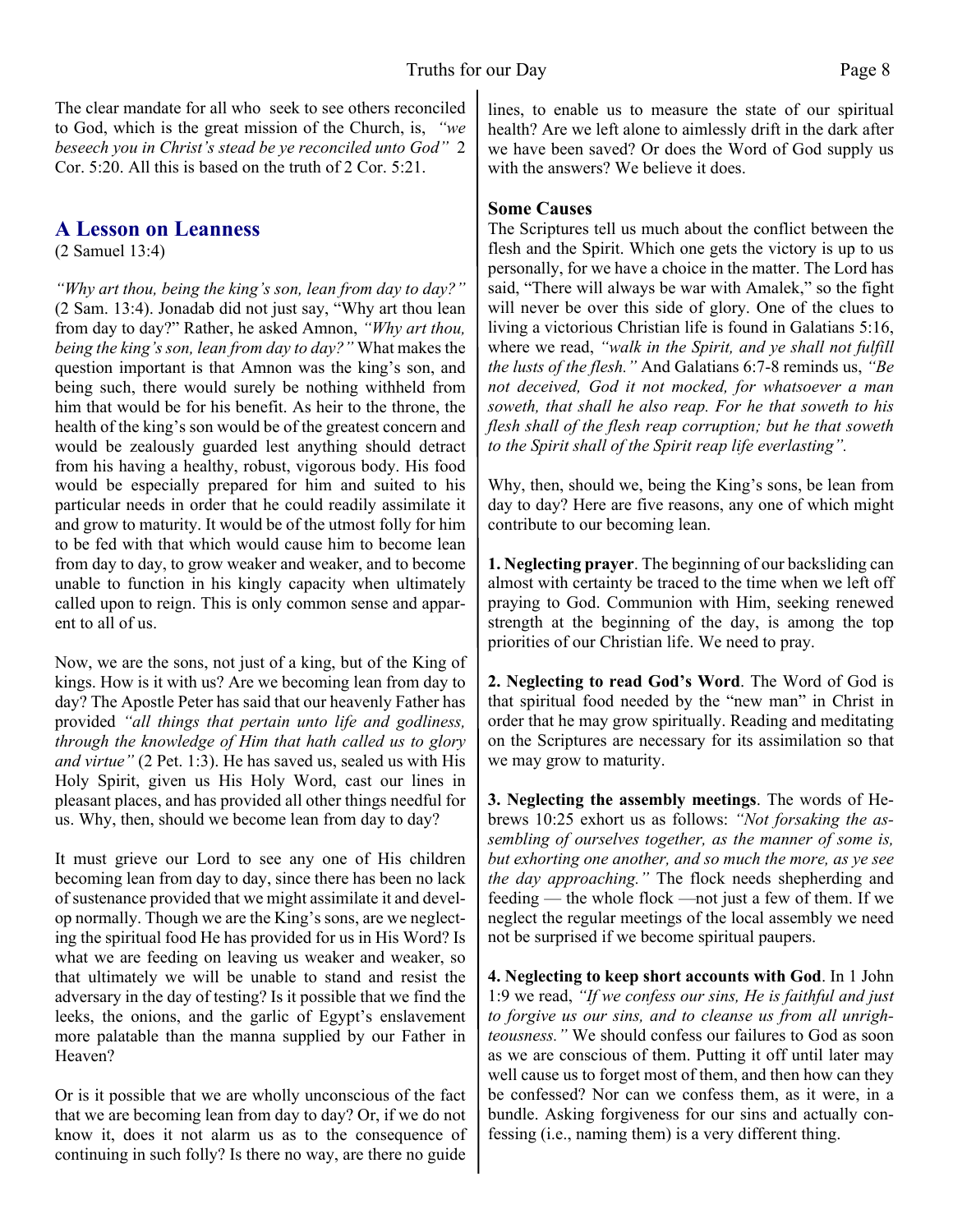The clear mandate for all who seek to see others reconciled to God, which is the great mission of the Church, is, *"we beseech you in Christ's stead be ye reconciled unto God"* 2 Cor. 5:20. All this is based on the truth of 2 Cor. 5:21.

### **A Lesson on Leanness**

(2 Samuel 13:4)

*"Why art thou, being the king's son, lean from day to day?"* (2 Sam. 13:4). Jonadab did not just say, "Why art thou lean from day to day?" Rather, he asked Amnon, *"Why art thou, being the king's son, lean from day to day?"* What makes the question important is that Amnon was the king's son, and being such, there would surely be nothing withheld from him that would be for his benefit. As heir to the throne, the health of the king's son would be of the greatest concern and would be zealously guarded lest anything should detract from his having a healthy, robust, vigorous body. His food would be especially prepared for him and suited to his particular needs in order that he could readily assimilate it and grow to maturity. It would be of the utmost folly for him to be fed with that which would cause him to become lean from day to day, to grow weaker and weaker, and to become unable to function in his kingly capacity when ultimately called upon to reign. This is only common sense and apparent to all of us.

Now, we are the sons, not just of a king, but of the King of kings. How is it with us? Are we becoming lean from day to day? The Apostle Peter has said that our heavenly Father has provided *"all things that pertain unto life and godliness, through the knowledge of Him that hath called us to glory and virtue"* (2 Pet. 1:3). He has saved us, sealed us with His Holy Spirit, given us His Holy Word, cast our lines in pleasant places, and has provided all other things needful for us. Why, then, should we become lean from day to day?

It must grieve our Lord to see any one of His children becoming lean from day to day, since there has been no lack of sustenance provided that we might assimilate it and develop normally. Though we are the King's sons, are we neglecting the spiritual food He has provided for us in His Word? Is what we are feeding on leaving us weaker and weaker, so that ultimately we will be unable to stand and resist the adversary in the day of testing? Is it possible that we find the leeks, the onions, and the garlic of Egypt's enslavement more palatable than the manna supplied by our Father in Heaven?

Or is it possible that we are wholly unconscious of the fact that we are becoming lean from day to day? Or, if we do not know it, does it not alarm us as to the consequence of continuing in such folly? Is there no way, are there no guide

lines, to enable us to measure the state of our spiritual health? Are we left alone to aimlessly drift in the dark after we have been saved? Or does the Word of God supply us with the answers? We believe it does.

#### **Some Causes**

The Scriptures tell us much about the conflict between the flesh and the Spirit. Which one gets the victory is up to us personally, for we have a choice in the matter. The Lord has said, "There will always be war with Amalek," so the fight will never be over this side of glory. One of the clues to living a victorious Christian life is found in Galatians 5:16, where we read, *"walk in the Spirit, and ye shall not fulfill the lusts of the flesh."* And Galatians 6:7-8 reminds us, *"Be not deceived, God it not mocked, for whatsoever a man soweth, that shall he also reap. For he that soweth to his flesh shall of the flesh reap corruption; but he that soweth to the Spirit shall of the Spirit reap life everlasting".*

Why, then, should we, being the King's sons, be lean from day to day? Here are five reasons, any one of which might contribute to our becoming lean.

**1. Neglecting prayer**. The beginning of our backsliding can almost with certainty be traced to the time when we left off praying to God. Communion with Him, seeking renewed strength at the beginning of the day, is among the top priorities of our Christian life. We need to pray.

**2. Neglecting to read God's Word**. The Word of God is that spiritual food needed by the "new man" in Christ in order that he may grow spiritually. Reading and meditating on the Scriptures are necessary for its assimilation so that we may grow to maturity.

**3. Neglecting the assembly meetings**. The words of Hebrews 10:25 exhort us as follows: *"Not forsaking the assembling of ourselves together, as the manner of some is, but exhorting one another, and so much the more, as ye see the day approaching."* The flock needs shepherding and feeding — the whole flock —not just a few of them. If we neglect the regular meetings of the local assembly we need not be surprised if we become spiritual paupers.

**4. Neglecting to keep short accounts with God**. In 1 John 1:9 we read, *"If we confess our sins, He is faithful and just to forgive us our sins, and to cleanse us from all unrighteousness."* We should confess our failures to God as soon as we are conscious of them. Putting it off until later may well cause us to forget most of them, and then how can they be confessed? Nor can we confess them, as it were, in a bundle. Asking forgiveness for our sins and actually confessing (i.e., naming them) is a very different thing.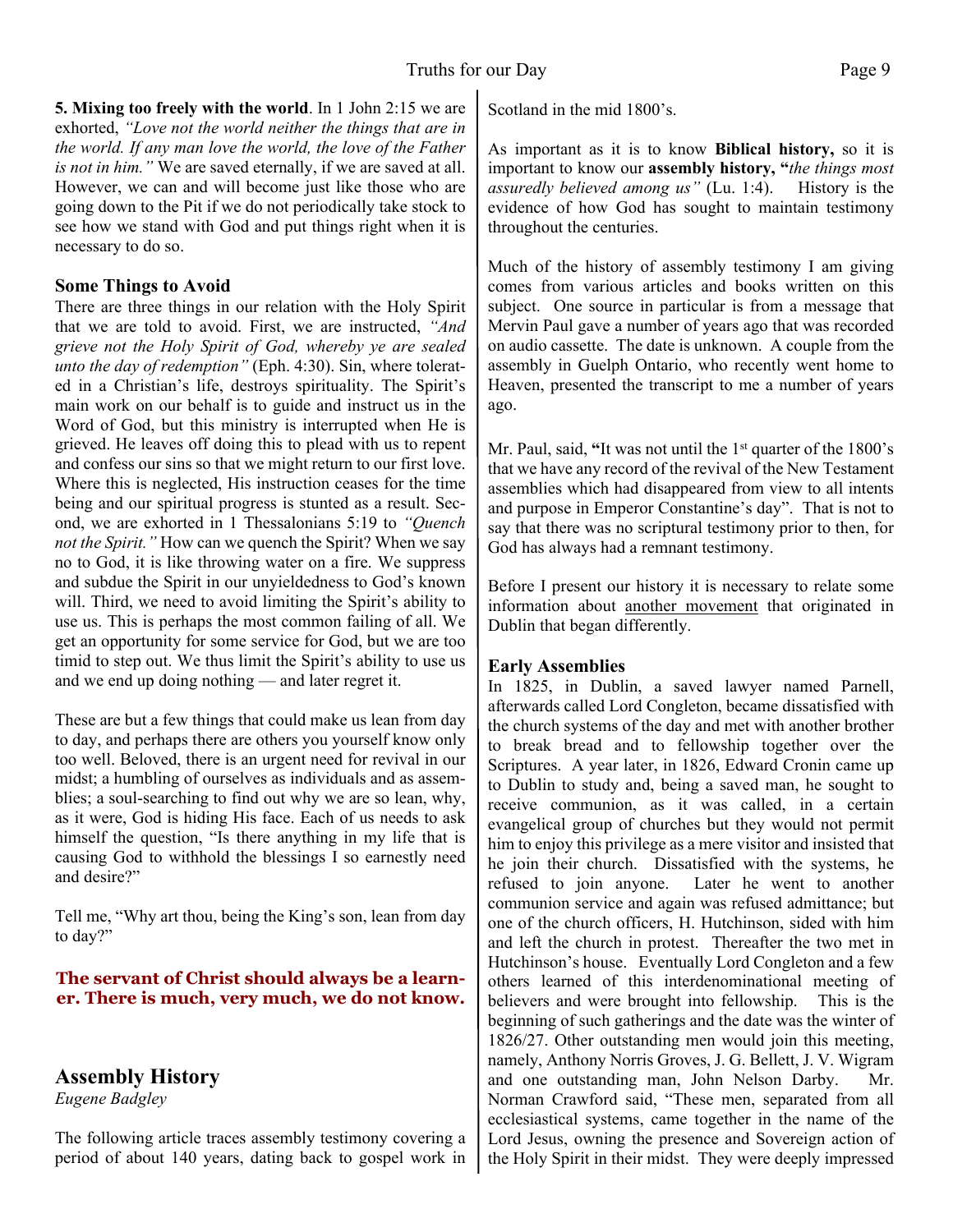**5. Mixing too freely with the world**. In 1 John 2:15 we are exhorted, *"Love not the world neither the things that are in the world. If any man love the world, the love of the Father is not in him."* We are saved eternally, if we are saved at all. However, we can and will become just like those who are going down to the Pit if we do not periodically take stock to

#### **Some Things to Avoid**

necessary to do so.

There are three things in our relation with the Holy Spirit that we are told to avoid. First, we are instructed, *"And grieve not the Holy Spirit of God, whereby ye are sealed unto the day of redemption"* (Eph. 4:30). Sin, where tolerated in a Christian's life, destroys spirituality. The Spirit's main work on our behalf is to guide and instruct us in the Word of God, but this ministry is interrupted when He is grieved. He leaves off doing this to plead with us to repent and confess our sins so that we might return to our first love. Where this is neglected, His instruction ceases for the time being and our spiritual progress is stunted as a result. Second, we are exhorted in 1 Thessalonians 5:19 to *"Quench not the Spirit."* How can we quench the Spirit? When we say no to God, it is like throwing water on a fire. We suppress and subdue the Spirit in our unyieldedness to God's known will. Third, we need to avoid limiting the Spirit's ability to use us. This is perhaps the most common failing of all. We get an opportunity for some service for God, but we are too timid to step out. We thus limit the Spirit's ability to use us and we end up doing nothing — and later regret it.

see how we stand with God and put things right when it is

These are but a few things that could make us lean from day to day, and perhaps there are others you yourself know only too well. Beloved, there is an urgent need for revival in our midst; a humbling of ourselves as individuals and as assemblies; a soul-searching to find out why we are so lean, why, as it were, God is hiding His face. Each of us needs to ask himself the question, "Is there anything in my life that is causing God to withhold the blessings I so earnestly need and desire?"

Tell me, "Why art thou, being the King's son, lean from day to day?"

#### **The servant of Christ should always be a learner. There is much, very much, we do not know.**

# **Assembly History**

*Eugene Badgley*

The following article traces assembly testimony covering a period of about 140 years, dating back to gospel work in Scotland in the mid 1800's.

As important as it is to know **Biblical history,** so it is important to know our **assembly history, "***the things most assuredly believed among us"* (Lu. 1:4). History is the evidence of how God has sought to maintain testimony throughout the centuries.

Much of the history of assembly testimony I am giving comes from various articles and books written on this subject. One source in particular is from a message that Mervin Paul gave a number of years ago that was recorded on audio cassette. The date is unknown. A couple from the assembly in Guelph Ontario, who recently went home to Heaven, presented the transcript to me a number of years ago.

Mr. Paul, said, **"**It was not until the 1st quarter of the 1800's that we have any record of the revival of the New Testament assemblies which had disappeared from view to all intents and purpose in Emperor Constantine's day". That is not to say that there was no scriptural testimony prior to then, for God has always had a remnant testimony.

Before I present our history it is necessary to relate some information about another movement that originated in Dublin that began differently.

#### **Early Assemblies**

In 1825, in Dublin, a saved lawyer named Parnell, afterwards called Lord Congleton, became dissatisfied with the church systems of the day and met with another brother to break bread and to fellowship together over the Scriptures. A year later, in 1826, Edward Cronin came up to Dublin to study and, being a saved man, he sought to receive communion, as it was called, in a certain evangelical group of churches but they would not permit him to enjoy this privilege as a mere visitor and insisted that he join their church. Dissatisfied with the systems, he refused to join anyone. Later he went to another communion service and again was refused admittance; but one of the church officers, H. Hutchinson, sided with him and left the church in protest. Thereafter the two met in Hutchinson's house. Eventually Lord Congleton and a few others learned of this interdenominational meeting of believers and were brought into fellowship. This is the beginning of such gatherings and the date was the winter of 1826/27. Other outstanding men would join this meeting, namely, Anthony Norris Groves, J. G. Bellett, J. V. Wigram and one outstanding man, John Nelson Darby. Mr. Norman Crawford said, "These men, separated from all ecclesiastical systems, came together in the name of the Lord Jesus, owning the presence and Sovereign action of the Holy Spirit in their midst. They were deeply impressed